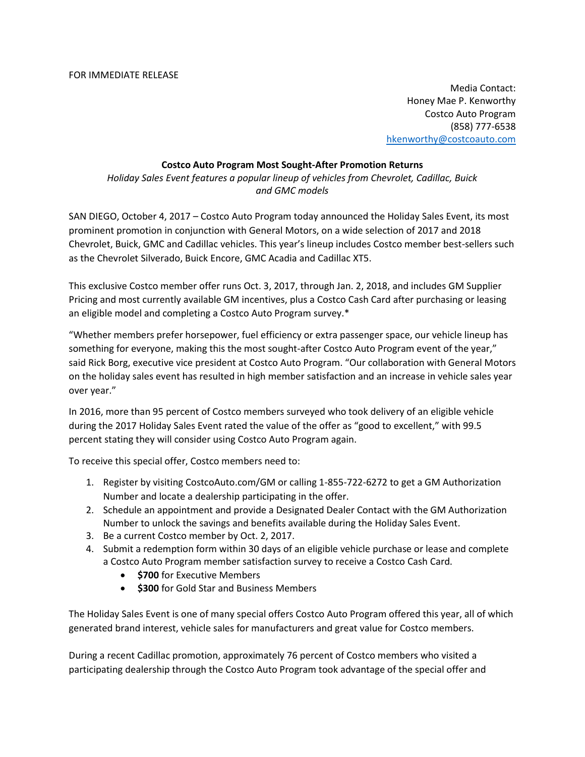Media Contact: Honey Mae P. Kenworthy Costco Auto Program (858) 777-6538 hkenworthy@costcoauto.com

## **Costco Auto Program Most Sought-After Promotion Returns**

*Holiday Sales Event features a popular lineup of vehicles from Chevrolet, Cadillac, Buick and GMC models* 

SAN DIEGO, October 4, 2017 – Costco Auto Program today announced the Holiday Sales Event, its most prominent promotion in conjunction with General Motors, on a wide selection of 2017 and 2018 Chevrolet, Buick, GMC and Cadillac vehicles. This year's lineup includes Costco member best-sellers such as the Chevrolet Silverado, Buick Encore, GMC Acadia and Cadillac XT5.

This exclusive Costco member offer runs Oct. 3, 2017, through Jan. 2, 2018, and includes GM Supplier Pricing and most currently available GM incentives, plus a Costco Cash Card after purchasing or leasing an eligible model and completing a Costco Auto Program survey.\*

"Whether members prefer horsepower, fuel efficiency or extra passenger space, our vehicle lineup has something for everyone, making this the most sought-after Costco Auto Program event of the year," said Rick Borg, executive vice president at Costco Auto Program. "Our collaboration with General Motors on the holiday sales event has resulted in high member satisfaction and an increase in vehicle sales year over year."

In 2016, more than 95 percent of Costco members surveyed who took delivery of an eligible vehicle during the 2017 Holiday Sales Event rated the value of the offer as "good to excellent," with 99.5 percent stating they will consider using Costco Auto Program again.

To receive this special offer, Costco members need to:

- 1. Register by visiting CostcoAuto.com/GM or calling 1-855-722-6272 to get a GM Authorization Number and locate a dealership participating in the offer.
- 2. Schedule an appointment and provide a Designated Dealer Contact with the GM Authorization Number to unlock the savings and benefits available during the Holiday Sales Event.
- 3. Be a current Costco member by Oct. 2, 2017.
- 4. Submit a redemption form within 30 days of an eligible vehicle purchase or lease and complete a Costco Auto Program member satisfaction survey to receive a Costco Cash Card.
	- **\*** \$700 for Executive Members
	- **\$300** for Gold Star and Business Members

The Holiday Sales Event is one of many special offers Costco Auto Program offered this year, all of which generated brand interest, vehicle sales for manufacturers and great value for Costco members.

During a recent Cadillac promotion, approximately 76 percent of Costco members who visited a participating dealership through the Costco Auto Program took advantage of the special offer and